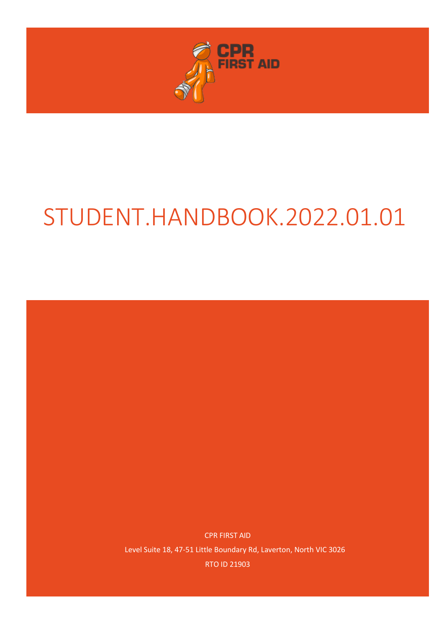

# STUDENT.HANDBOOK.2022.01.01

CPR FIRST AID Level Suite 18, 47-51 Little Boundary Rd, Laverton, North VIC 3026 RTO ID 21903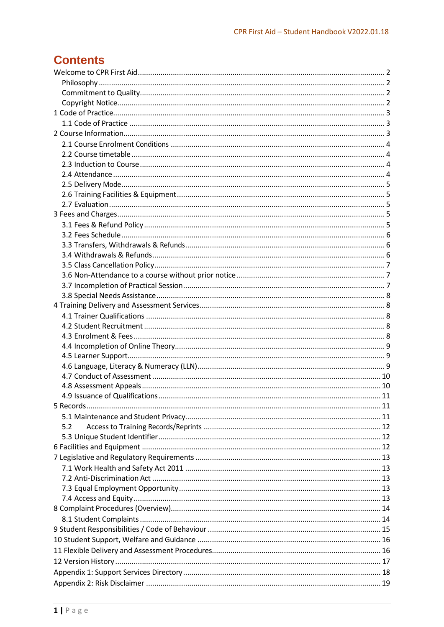# **Contents**

| 5.2 |  |
|-----|--|
|     |  |
|     |  |
|     |  |
|     |  |
|     |  |
|     |  |
|     |  |
|     |  |
|     |  |
|     |  |
|     |  |
|     |  |
|     |  |
|     |  |
|     |  |
|     |  |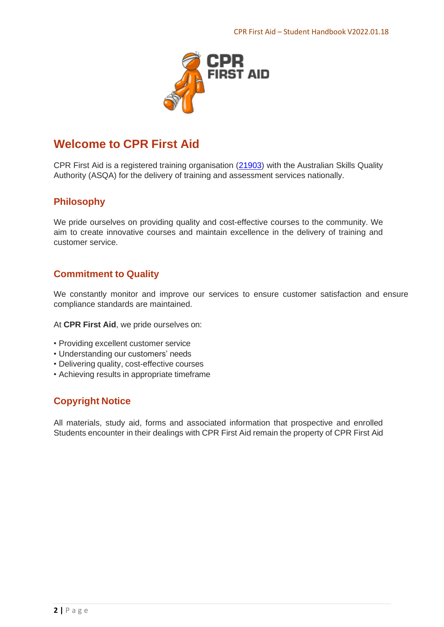

# <span id="page-2-0"></span>**Welcome to CPR First Aid**

CPR First Aid is a registered training organisation [\(21903\)](http://training.gov.au/Organisation/Details/21903) with the Australian Skills Quality Authority (ASQA) for the delivery of training and assessment services nationally.

## <span id="page-2-1"></span>**Philosophy**

We pride ourselves on providing quality and cost-effective courses to the community. We aim to create innovative courses and maintain excellence in the delivery of training and customer service.

## <span id="page-2-2"></span>**Commitment to Quality**

We constantly monitor and improve our services to ensure customer satisfaction and ensure compliance standards are maintained.

At **CPR First Aid**, we pride ourselves on:

- Providing excellent customer service
- Understanding our customers' needs
- Delivering quality, cost-effective courses
- Achieving results in appropriate timeframe

## <span id="page-2-3"></span>**Copyright Notice**

All materials, study aid, forms and associated information that prospective and enrolled Students encounter in their dealings with CPR First Aid remain the property of CPR First Aid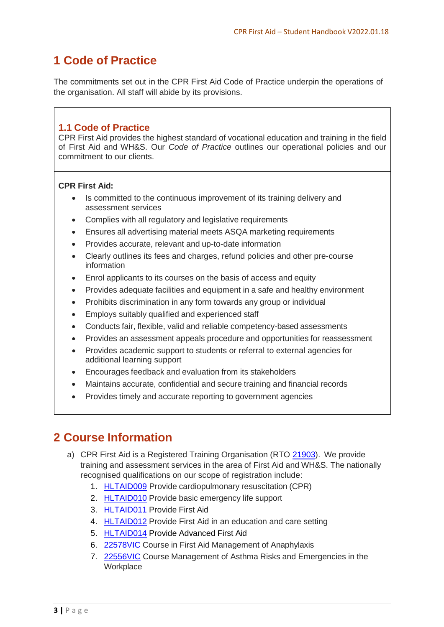# <span id="page-3-0"></span>**1 Code of Practice**

The commitments set out in the CPR First Aid Code of Practice underpin the operations of the organisation. All staff will abide by its provisions.

## <span id="page-3-1"></span>**1.1 Code of Practice**

CPR First Aid provides the highest standard of vocational education and training in the field of First Aid and WH&S. Our *Code of Practice* outlines our operational policies and our commitment to our clients.

#### **CPR First Aid:**

- Is committed to the continuous improvement of its training delivery and assessment services
- Complies with all regulatory and legislative requirements
- Ensures all advertising material meets ASQA marketing requirements
- Provides accurate, relevant and up-to-date information
- Clearly outlines its fees and charges, refund policies and other pre-course information
- Enrol applicants to its courses on the basis of access and equity
- Provides adequate facilities and equipment in a safe and healthy environment
- Prohibits discrimination in any form towards any group or individual
- Employs suitably qualified and experienced staff
- Conducts fair, flexible, valid and reliable competency-based assessments
- Provides an assessment appeals procedure and opportunities for reassessment
- Provides academic support to students or referral to external agencies for additional learning support
- Encourages feedback and evaluation from its stakeholders
- Maintains accurate, confidential and secure training and financial records
- Provides timely and accurate reporting to government agencies

# <span id="page-3-2"></span>**2 Course Information**

- a) CPR First Aid is a Registered Training Organisation (RTO [21903\)](http://training.gov.au/Organisation/Details/21903). We provide training and assessment services in the area of First Aid and WH&S. The nationally recognised qualifications on our scope of registration include:
	- 1. [HLTAID009](https://training.gov.au/Training/Details/HLTAID009) Provide cardiopulmonary resuscitation (CPR)
	- 2. [HLTAID010](https://training.gov.au/Training/Details/HLTAID010) Provide basic emergency life support
	- 3. [HLTAID011](https://training.gov.au/Training/Details/HLTAID011) Provide First Aid
	- 4. [HLTAID012](https://training.gov.au/Training/Details/HLTAID012) Provide First Aid in an education and care setting
	- 5. [HLTAID014](https://training.gov.au/Training/Details/HLTAID014) Provide Advanced First Aid
	- 6. [22578VIC](https://training.gov.au/Training/Details/22578VIC) Course in First Aid Management of Anaphylaxis
	- 7. [22556VIC](https://training.gov.au/Training/Details/22556VIC) Course Management of Asthma Risks and Emergencies in the Workplace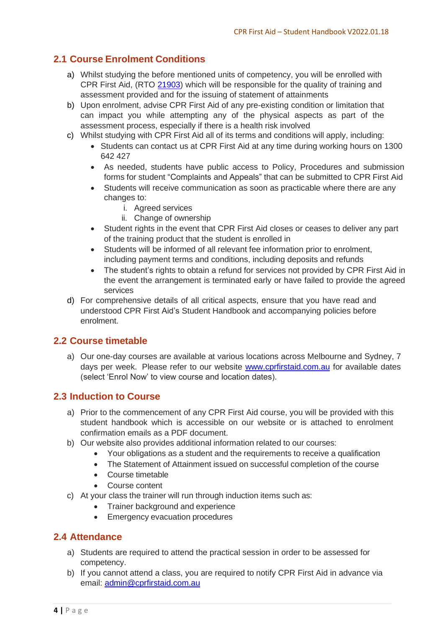## <span id="page-4-0"></span>**2.1 Course Enrolment Conditions**

- a) Whilst studying the before mentioned units of competency, you will be enrolled with CPR First Aid, (RTO [21903\)](http://training.gov.au/Organisation/Details/21903) which will be responsible for the quality of training and assessment provided and for the issuing of statement of attainments
- b) Upon enrolment, advise CPR First Aid of any pre-existing condition or limitation that can impact you while attempting any of the physical aspects as part of the assessment process, especially if there is a health risk involved
- c) Whilst studying with CPR First Aid all of its terms and conditions will apply, including:
	- Students can contact us at CPR First Aid at any time during working hours on 1300 642 427
	- As needed, students have public access to Policy, Procedures and submission forms for student "Complaints and Appeals" that can be submitted to CPR First Aid
	- Students will receive communication as soon as practicable where there are any changes to:
		- i. Agreed services
		- ii. Change of ownership
	- Student rights in the event that CPR First Aid closes or ceases to deliver any part of the training product that the student is enrolled in
	- Students will be informed of all relevant fee information prior to enrolment, including payment terms and conditions, including deposits and refunds
	- The student's rights to obtain a refund for services not provided by CPR First Aid in the event the arrangement is terminated early or have failed to provide the agreed services
- d) For comprehensive details of all critical aspects, ensure that you have read and understood CPR First Aid's Student Handbook and accompanying policies before enrolment.

#### <span id="page-4-1"></span>**2.2 Course timetable**

a) Our one-day courses are available at various locations across Melbourne and Sydney, 7 days per week. Please refer to our website [www.cprfirstaid.com.au](http://www.cprfirstaid.com.au/) for available dates (select 'Enrol Now' to view course and location dates).

#### <span id="page-4-2"></span>**2.3 Induction to Course**

- a) Prior to the commencement of any CPR First Aid course, you will be provided with this student handbook which is accessible on our website or is attached to enrolment confirmation emails as a PDF document.
- b) Our website also provides additional information related to our courses:
	- Your obligations as a student and the requirements to receive a qualification
	- The Statement of Attainment issued on successful completion of the course
	- Course timetable
	- Course content
- c) At your class the trainer will run through induction items such as:
	- Trainer background and experience
	- Emergency evacuation procedures

#### <span id="page-4-3"></span>**2.4 Attendance**

- a) Students are required to attend the practical session in order to be assessed for competency.
- b) If you cannot attend a class, you are required to notify CPR First Aid in advance via email: [admin@cprfirstaid.com.au](mailto:admin@cprfirstaid.com.au)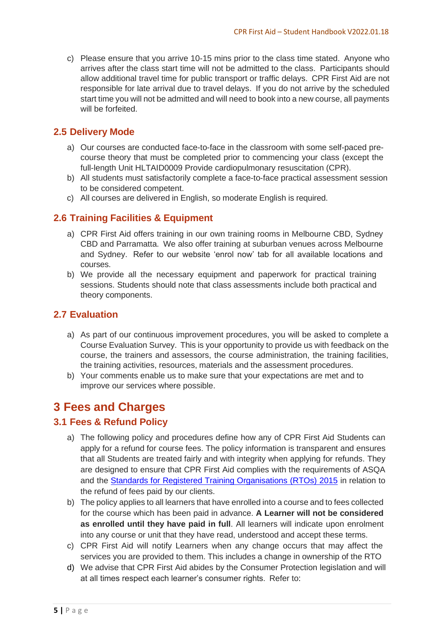c) Please ensure that you arrive 10-15 mins prior to the class time stated. Anyone who arrives after the class start time will not be admitted to the class. Participants should allow additional travel time for public transport or traffic delays. CPR First Aid are not responsible for late arrival due to travel delays. If you do not arrive by the scheduled start time you will not be admitted and will need to book into a new course, all payments will be forfeited.

#### <span id="page-5-0"></span>**2.5 Delivery Mode**

- a) Our courses are conducted face-to-face in the classroom with some self-paced precourse theory that must be completed prior to commencing your class (except the full-length Unit HLTAID0009 Provide cardiopulmonary resuscitation (CPR).
- b) All students must satisfactorily complete a face-to-face practical assessment session to be considered competent.
- c) All courses are delivered in English, so moderate English is required.

#### <span id="page-5-1"></span>**2.6 Training Facilities & Equipment**

- a) CPR First Aid offers training in our own training rooms in Melbourne CBD, Sydney CBD and Parramatta. We also offer training at suburban venues across Melbourne and Sydney. Refer to our website 'enrol now' tab for all available locations and courses.
- b) We provide all the necessary equipment and paperwork for practical training sessions. Students should note that class assessments include both practical and theory components.

#### <span id="page-5-2"></span>**2.7 Evaluation**

- a) As part of our continuous improvement procedures, you will be asked to complete a Course Evaluation Survey. This is your opportunity to provide us with feedback on the course, the trainers and assessors, the course administration, the training facilities, the training activities, resources, materials and the assessment procedures.
- b) Your comments enable us to make sure that your expectations are met and to improve our services where possible.

## <span id="page-5-3"></span>**3 Fees and Charges**

#### <span id="page-5-4"></span>**3.1 Fees & Refund Policy**

- a) The following policy and procedures define how any of CPR First Aid Students can apply for a refund for course fees. The policy information is transparent and ensures that all Students are treated fairly and with integrity when applying for refunds. They are designed to ensure that CPR First Aid complies with the requirements of ASQA and the [Standards for Registered Training Organisations \(RTOs\) 2015](https://www.comlaw.gov.au/Details/F2014L01377/EnabledBy) in relation to the refund of fees paid by our clients.
- b) The policy applies to all learners that have enrolled into a course and to fees collected for the course which has been paid in advance. **A Learner will not be considered as enrolled until they have paid in full**. All learners will indicate upon enrolment into any course or unit that they have read, understood and accept these terms.
- c) CPR First Aid will notify Learners when any change occurs that may affect the services you are provided to them. This includes a change in ownership of the RTO
- d) We advise that CPR First Aid abides by the Consumer Protection legislation and will at all times respect each learner's consumer rights. Refer to: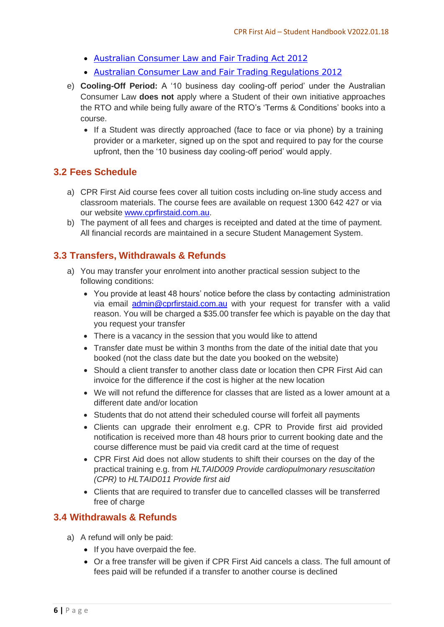- Australian [Consumer](http://www8.austlii.edu.au/cgi-bin/viewdb/au/legis/vic/consol_act/aclafta2012372/) Law and Fair Trading Act 2012
- Australian Consumer Law and Fair Trading [Regulations](http://www.austlii.edu.au/au/legis/vic/consol_reg/aclaftr2012481/notes.html) 2012
- e) **Cooling-Off Period:** A '10 business day cooling-off period' under the Australian Consumer Law **does not** apply where a Student of their own initiative approaches the RTO and while being fully aware of the RTO's 'Terms & Conditions' books into a course.
	- If a Student was directly approached (face to face or via phone) by a training provider or a marketer, signed up on the spot and required to pay for the course upfront, then the '10 business day cooling-off period' would apply.

#### <span id="page-6-0"></span>**3.2 Fees Schedule**

- a) CPR First Aid course fees cover all tuition costs including on-line study access and classroom materials. The course fees are available on request 1300 642 427 or via our website [www.cprfirstaid.com.au.](http://www.cprfirstaid.com.au/)
- b) The payment of all fees and charges is receipted and dated at the time of payment. All financial records are maintained in a secure Student Management System.

#### <span id="page-6-1"></span>**3.3 Transfers, Withdrawals & Refunds**

- a) You may transfer your enrolment into another practical session subject to the following conditions:
	- You provide at least 48 hours' notice before the class by contacting administration via email **[admin@cprfirstaid.com.au](mailto:admin@cprfirstaid.com.au)** with your request for transfer with a valid reason. You will be charged a \$35.00 transfer fee which is payable on the day that you request your transfer
	- There is a vacancy in the session that you would like to attend
	- Transfer date must be within 3 months from the date of the initial date that you booked (not the class date but the date you booked on the website)
	- Should a client transfer to another class date or location then CPR First Aid can invoice for the difference if the cost is higher at the new location
	- We will not refund the difference for classes that are listed as a lower amount at a different date and/or location
	- Students that do not attend their scheduled course will forfeit all payments
	- Clients can upgrade their enrolment e.g. CPR to Provide first aid provided notification is received more than 48 hours prior to current booking date and the course difference must be paid via credit card at the time of request
	- CPR First Aid does not allow students to shift their courses on the day of the practical training e.g. from *HLTAID009 Provide cardiopulmonary resuscitation (CPR)* to *HLTAID011 Provide first aid*
	- Clients that are required to transfer due to cancelled classes will be transferred free of charge

#### <span id="page-6-2"></span>**3.4 Withdrawals & Refunds**

- a) A refund will only be paid:
	- If you have overpaid the fee.
	- Or a free transfer will be given if CPR First Aid cancels a class. The full amount of fees paid will be refunded if a transfer to another course is declined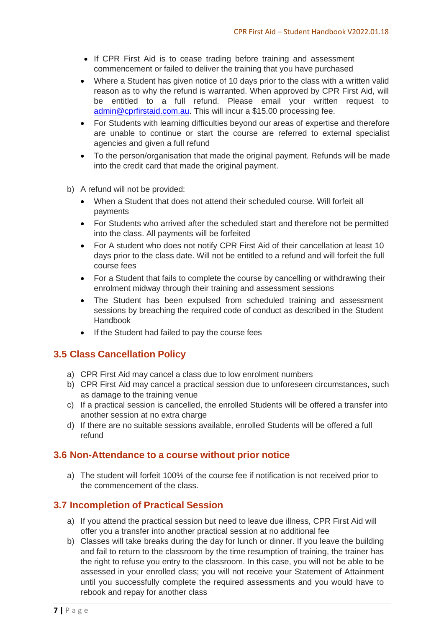- If CPR First Aid is to cease trading before training and assessment commencement or failed to deliver the training that you have purchased
- Where a Student has given notice of 10 days prior to the class with a written valid reason as to why the refund is warranted. When approved by CPR First Aid, will be entitled to a full refund. Please email your written request to [admin@cprfirstaid.com.au.](mailto:admin@cprfirstaid.com.au) This will incur a \$15.00 processing fee.
- For Students with learning difficulties beyond our areas of expertise and therefore are unable to continue or start the course are referred to external specialist agencies and given a full refund
- To the person/organisation that made the original payment. Refunds will be made into the credit card that made the original payment.
- b) A refund will not be provided:
	- When a Student that does not attend their scheduled course. Will forfeit all payments
	- For Students who arrived after the scheduled start and therefore not be permitted into the class. All payments will be forfeited
	- For A student who does not notify CPR First Aid of their cancellation at least 10 days prior to the class date. Will not be entitled to a refund and will forfeit the full course fees
	- For a Student that fails to complete the course by cancelling or withdrawing their enrolment midway through their training and assessment sessions
	- The Student has been expulsed from scheduled training and assessment sessions by breaching the required code of conduct as described in the Student Handbook
	- If the Student had failed to pay the course fees

#### <span id="page-7-0"></span>**3.5 Class Cancellation Policy**

- a) CPR First Aid may cancel a class due to low enrolment numbers
- b) CPR First Aid may cancel a practical session due to unforeseen circumstances, such as damage to the training venue
- c) If a practical session is cancelled, the enrolled Students will be offered a transfer into another session at no extra charge
- d) If there are no suitable sessions available, enrolled Students will be offered a full refund

#### <span id="page-7-1"></span>**3.6 Non-Attendance to a course without prior notice**

a) The student will forfeit 100% of the course fee if notification is not received prior to the commencement of the class.

#### <span id="page-7-2"></span>**3.7 Incompletion of Practical Session**

- a) If you attend the practical session but need to leave due illness, CPR First Aid will offer you a transfer into another practical session at no additional fee
- b) Classes will take breaks during the day for lunch or dinner. If you leave the building and fail to return to the classroom by the time resumption of training, the trainer has the right to refuse you entry to the classroom. In this case, you will not be able to be assessed in your enrolled class; you will not receive your Statement of Attainment until you successfully complete the required assessments and you would have to rebook and repay for another class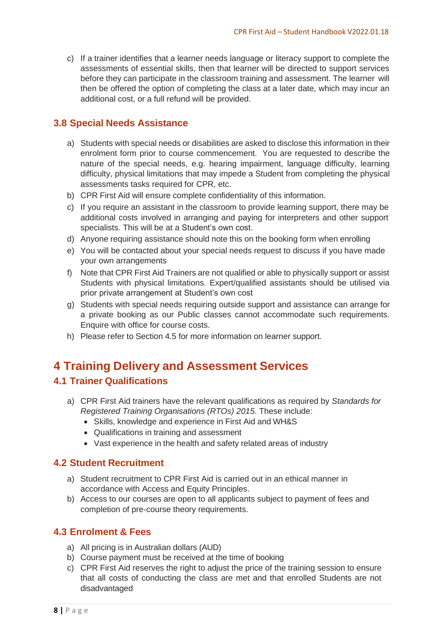c) If a trainer identifies that a learner needs language or literacy support to complete the assessments of essential skills, then that learner will be directed to support services before they can participate in the classroom training and assessment. The learner will then be offered the option of completing the class at a later date, which may incur an additional cost, or a full refund will be provided.

#### <span id="page-8-0"></span>**3.8 Special Needs Assistance**

- a) Students with special needs or disabilities are asked to disclose this information in their enrolment form prior to course commencement. You are requested to describe the nature of the special needs, e.g. hearing impairment, language difficulty, learning difficulty, physical limitations that may impede a Student from completing the physical assessments tasks required for CPR, etc.
- b) CPR First Aid will ensure complete confidentiality of this information.
- c) If you require an assistant in the classroom to provide learning support, there may be additional costs involved in arranging and paying for interpreters and other support specialists. This will be at a Student's own cost.
- d) Anyone requiring assistance should note this on the booking form when enrolling
- e) You will be contacted about your special needs request to discuss if you have made your own arrangements
- f) Note that CPR First Aid Trainers are not qualified or able to physically support or assist Students with physical limitations. Expert/qualified assistants should be utilised via prior private arrangement at Student's own cost
- g) Students with special needs requiring outside support and assistance can arrange for a private booking as our Public classes cannot accommodate such requirements. Enquire with office for course costs.
- h) Please refer to Section 4.5 for more information on learner support.

## <span id="page-8-1"></span>**4 Training Delivery and Assessment Services**

#### <span id="page-8-2"></span>**4.1 Trainer Qualifications**

- a) CPR First Aid trainers have the relevant qualifications as required by *Standards for Registered Training Organisations (RTOs) 2015*. These include:
	- Skills, knowledge and experience in First Aid and WH&S
	- Qualifications in training and assessment
	- Vast experience in the health and safety related areas of industry

#### <span id="page-8-3"></span>**4.2 Student Recruitment**

- a) Student recruitment to CPR First Aid is carried out in an ethical manner in accordance with Access and Equity Principles.
- b) Access to our courses are open to all applicants subject to payment of fees and completion of pre-course theory requirements.

#### <span id="page-8-4"></span>**4.3 Enrolment & Fees**

- a) All pricing is in Australian dollars (AUD)
- b) Course payment must be received at the time of booking
- c) CPR First Aid reserves the right to adjust the price of the training session to ensure that all costs of conducting the class are met and that enrolled Students are not disadvantaged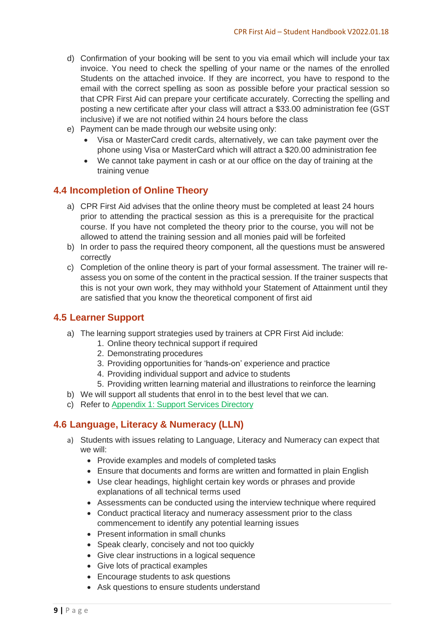- d) Confirmation of your booking will be sent to you via email which will include your tax invoice. You need to check the spelling of your name or the names of the enrolled Students on the attached invoice. If they are incorrect, you have to respond to the email with the correct spelling as soon as possible before your practical session so that CPR First Aid can prepare your certificate accurately. Correcting the spelling and posting a new certificate after your class will attract a \$33.00 administration fee (GST inclusive) if we are not notified within 24 hours before the class
- e) Payment can be made through our website using only:
	- Visa or MasterCard credit cards, alternatively, we can take payment over the phone using Visa or MasterCard which will attract a \$20.00 administration fee
	- We cannot take payment in cash or at our office on the day of training at the training venue

#### <span id="page-9-0"></span>**4.4 Incompletion of Online Theory**

- a) CPR First Aid advises that the online theory must be completed at least 24 hours prior to attending the practical session as this is a prerequisite for the practical course. If you have not completed the theory prior to the course, you will not be allowed to attend the training session and all monies paid will be forfeited
- b) In order to pass the required theory component, all the questions must be answered correctly
- c) Completion of the online theory is part of your formal assessment. The trainer will reassess you on some of the content in the practical session. If the trainer suspects that this is not your own work, they may withhold your Statement of Attainment until they are satisfied that you know the theoretical component of first aid

#### <span id="page-9-1"></span>**4.5 Learner Support**

- a) The learning support strategies used by trainers at CPR First Aid include:
	- 1. Online theory technical support if required
	- 2. Demonstrating procedures
	- 3. Providing opportunities for 'hands-on' experience and practice
	- 4. Providing individual support and advice to students
	- 5. Providing written learning material and illustrations to reinforce the learning
- b) We will support all students that enrol in to the best level that we can.
- c) Refer to [Appendix](#page-18-0) 1: Support Services Directory

## <span id="page-9-2"></span>**4.6 Language, Literacy & Numeracy (LLN)**

- a) Students with issues relating to Language, Literacy and Numeracy can expect that we will:
	- Provide examples and models of completed tasks
	- Ensure that documents and forms are written and formatted in plain English
	- Use clear headings, highlight certain key words or phrases and provide explanations of all technical terms used
	- Assessments can be conducted using the interview technique where required
	- Conduct practical literacy and numeracy assessment prior to the class commencement to identify any potential learning issues
	- Present information in small chunks
	- Speak clearly, concisely and not too quickly
	- Give clear instructions in a logical sequence
	- Give lots of practical examples
	- Encourage students to ask questions
	- Ask questions to ensure students understand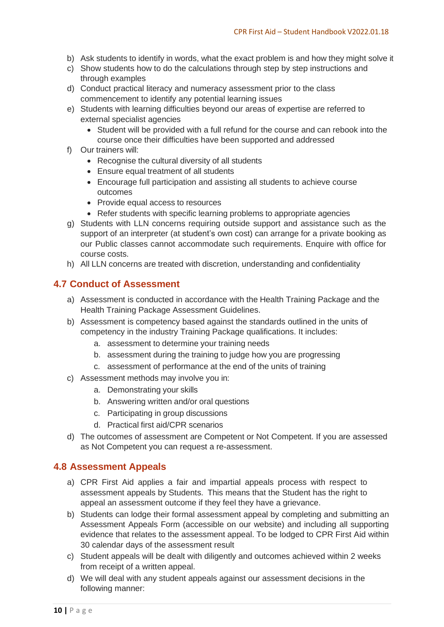- b) Ask students to identify in words, what the exact problem is and how they might solve it
- c) Show students how to do the calculations through step by step instructions and through examples
- d) Conduct practical literacy and numeracy assessment prior to the class commencement to identify any potential learning issues
- e) Students with learning difficulties beyond our areas of expertise are referred to external specialist agencies
	- Student will be provided with a full refund for the course and can rebook into the course once their difficulties have been supported and addressed
- f) Our trainers will:
	- Recognise the cultural diversity of all students
	- Ensure equal treatment of all students
	- Encourage full participation and assisting all students to achieve course outcomes
	- Provide equal access to resources
	- Refer students with specific learning problems to appropriate agencies
- g) Students with LLN concerns requiring outside support and assistance such as the support of an interpreter (at student's own cost) can arrange for a private booking as our Public classes cannot accommodate such requirements. Enquire with office for course costs.
- h) All LLN concerns are treated with discretion, understanding and confidentiality

#### <span id="page-10-0"></span>**4.7 Conduct of Assessment**

- a) Assessment is conducted in accordance with the Health Training Package and the Health Training Package Assessment Guidelines.
- b) Assessment is competency based against the standards outlined in the units of competency in the industry Training Package qualifications. It includes:
	- a. assessment to determine your training needs
	- b. assessment during the training to judge how you are progressing
	- c. assessment of performance at the end of the units of training
- c) Assessment methods may involve you in:
	- a. Demonstrating your skills
	- b. Answering written and/or oral questions
	- c. Participating in group discussions
	- d. Practical first aid/CPR scenarios
- d) The outcomes of assessment are Competent or Not Competent. If you are assessed as Not Competent you can request a re-assessment.

#### <span id="page-10-1"></span>**4.8 Assessment Appeals**

- a) CPR First Aid applies a fair and impartial appeals process with respect to assessment appeals by Students. This means that the Student has the right to appeal an assessment outcome if they feel they have a grievance.
- b) Students can lodge their formal assessment appeal by completing and submitting an Assessment Appeals Form (accessible on our website) and including all supporting evidence that relates to the assessment appeal. To be lodged to CPR First Aid within 30 calendar days of the assessment result
- c) Student appeals will be dealt with diligently and outcomes achieved within 2 weeks from receipt of a written appeal.
- d) We will deal with any student appeals against our assessment decisions in the following manner: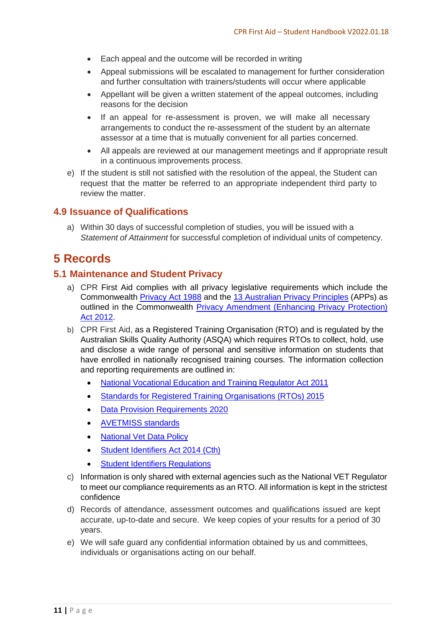- Each appeal and the outcome will be recorded in writing
- Appeal submissions will be escalated to management for further consideration and further consultation with trainers/students will occur where applicable
- Appellant will be given a written statement of the appeal outcomes, including reasons for the decision
- If an appeal for re-assessment is proven, we will make all necessary arrangements to conduct the re-assessment of the student by an alternate assessor at a time that is mutually convenient for all parties concerned.
- All appeals are reviewed at our management meetings and if appropriate result in a continuous improvements process.
- e) If the student is still not satisfied with the resolution of the appeal, the Student can request that the matter be referred to an appropriate independent third party to review the matter.

#### <span id="page-11-0"></span>**4.9 Issuance of Qualifications**

a) Within 30 days of successful completion of studies, you will be issued with a *Statement of Attainment* for successful completion of individual units of competency.

# <span id="page-11-1"></span>**5 Records**

#### <span id="page-11-2"></span>**5.1 Maintenance and Student Privacy**

- a) CPR First Aid complies with all privacy legislative requirements which include the Commonwealth [Privacy Act 1988](https://www.legislation.gov.au/Series/C2004A03712) and the [13 Australian Privacy Principles](http://www.oaic.gov.au/individuals/privacy-fact-sheets/general/privacy-fact-sheet-17-australian-privacy-principles) (APPs) as outlined in the Commonwealth [Privacy Amendment \(Enhancing Privacy Protection\)](https://www.legislation.gov.au/Details/C2015C00053)  [Act 2012.](https://www.legislation.gov.au/Details/C2015C00053)
- b) CPR First Aid, as a Registered Training Organisation (RTO) and is regulated by the Australian Skills Quality Authority (ASQA) which requires RTOs to collect, hold, use and disclose a wide range of personal and sensitive information on students that have enrolled in nationally recognised training courses. The information collection and reporting requirements are outlined in:
	- National [Vocational](https://www.legislation.gov.au/Details/C2021C00430) Education and Training Regulator Act 2011
	- Standards for Registered Training [Organisations](https://www.legislation.gov.au/Details/F2019C00503) (RTOs) 2015
	- [Data Provision Requirements 2020](https://www.legislation.gov.au/Details/F2020L01517)
	- [AVETMISS](https://www.ncver.edu.au/support/topics/avetmiss/what-is-avetmiss) standards
	- [National](https://www.dese.gov.au/national-vet-data/resources/national-vet-data-policy) Vet Data Policy
	- Student [Identifiers](https://www.legislation.gov.au/Details/C2021C00535) Act 2014 (Cth)
	- **Student Identifiers [Regulations](https://www.legislation.gov.au/Details/F2021C00286)**
- c) Information is only shared with external agencies such as the National VET Regulator to meet our compliance requirements as an RTO. All information is kept in the strictest confidence
- d) Records of attendance, assessment outcomes and qualifications issued are kept accurate, up-to-date and secure. We keep copies of your results for a period of 30 years.
- e) We will safe guard any confidential information obtained by us and committees, individuals or organisations acting on our behalf.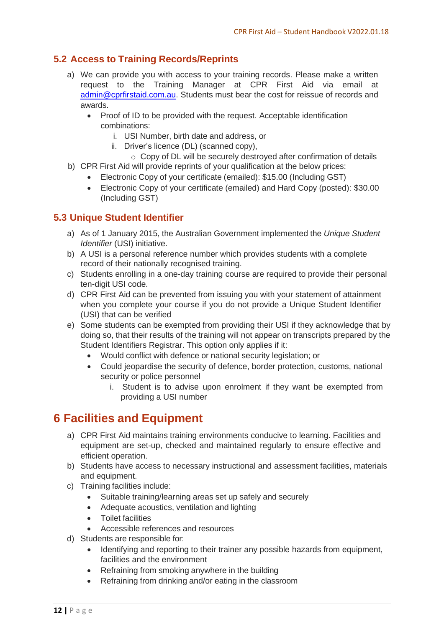## <span id="page-12-0"></span>**5.2 Access to Training Records/Reprints**

- a) We can provide you with access to your training records. Please make a written request to the Training Manager at CPR First Aid via email at [admin@cprfirstaid.com.au.](mailto:admin@cprfirstaid.com.au) Students must bear the cost for reissue of records and awards.
	- Proof of ID to be provided with the request. Acceptable identification combinations:
		- i. USI Number, birth date and address, or
		- ii. Driver's licence (DL) (scanned copy),
	- o Copy of DL will be securely destroyed after confirmation of details
- b) CPR First Aid will provide reprints of your qualification at the below prices:
	- Electronic Copy of your certificate (emailed): \$15.00 (Including GST)
	- Electronic Copy of your certificate (emailed) and Hard Copy (posted): \$30.00 (Including GST)

## <span id="page-12-1"></span>**5.3 Unique Student Identifier**

- a) As of 1 January 2015, the Australian Government implemented the *Unique Student Identifier* (USI) initiative.
- b) A USI is a personal reference number which provides students with a complete record of their nationally recognised training.
- c) Students enrolling in a one-day training course are required to provide their personal ten-digit USI code.
- d) CPR First Aid can be prevented from issuing you with your statement of attainment when you complete your course if you do not provide a Unique Student Identifier (USI) that can be verified
- e) Some students can be exempted from providing their USI if they acknowledge that by doing so, that their results of the training will not appear on transcripts prepared by the Student Identifiers Registrar. This option only applies if it:
	- Would conflict with defence or national security legislation; or
	- Could jeopardise the security of defence, border protection, customs, national security or police personnel
		- i. Student is to advise upon enrolment if they want be exempted from providing a USI number

# <span id="page-12-2"></span>**6 Facilities and Equipment**

- a) CPR First Aid maintains training environments conducive to learning. Facilities and equipment are set-up, checked and maintained regularly to ensure effective and efficient operation.
- b) Students have access to necessary instructional and assessment facilities, materials and equipment.
- c) Training facilities include:
	- Suitable training/learning areas set up safely and securely
	- Adequate acoustics, ventilation and lighting
	- Toilet facilities
	- Accessible references and resources
- d) Students are responsible for:
	- Identifying and reporting to their trainer any possible hazards from equipment, facilities and the environment
	- Refraining from smoking anywhere in the building
	- Refraining from drinking and/or eating in the classroom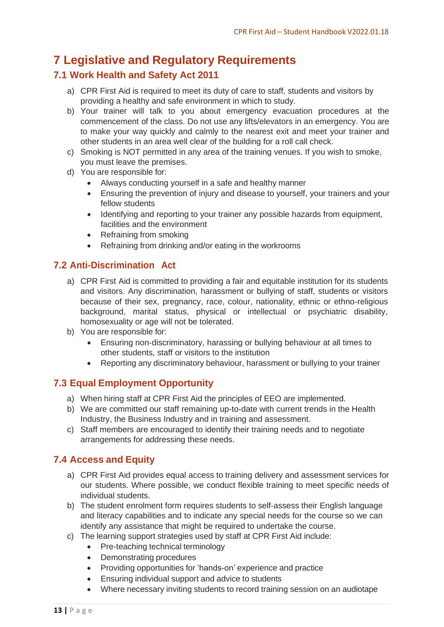# <span id="page-13-0"></span>**7 Legislative and Regulatory Requirements**

## <span id="page-13-1"></span>**7.1 Work Health and Safety Act 2011**

- a) CPR First Aid is required to meet its duty of care to staff, students and visitors by providing a healthy and safe environment in which to study.
- b) Your trainer will talk to you about emergency evacuation procedures at the commencement of the class. Do not use any lifts/elevators in an emergency. You are to make your way quickly and calmly to the nearest exit and meet your trainer and other students in an area well clear of the building for a roll call check.
- c) Smoking is NOT permitted in any area of the training venues. If you wish to smoke, you must leave the premises.
- d) You are responsible for:
	- Always conducting yourself in a safe and healthy manner
	- Ensuring the prevention of injury and disease to yourself, your trainers and your fellow students
	- Identifying and reporting to your trainer any possible hazards from equipment, facilities and the environment
	- Refraining from smoking
	- Refraining from drinking and/or eating in the workrooms

#### <span id="page-13-2"></span>**7.2 Anti-Discrimination Act**

- a) CPR First Aid is committed to providing a fair and equitable institution for its students and visitors. Any discrimination, harassment or bullying of staff, students or visitors because of their sex, pregnancy, race, colour, nationality, ethnic or ethno-religious background, marital status, physical or intellectual or psychiatric disability, homosexuality or age will not be tolerated.
- b) You are responsible for:
	- Ensuring non-discriminatory, harassing or bullying behaviour at all times to other students, staff or visitors to the institution
	- Reporting any discriminatory behaviour, harassment or bullying to your trainer

## <span id="page-13-3"></span>**7.3 Equal Employment Opportunity**

- a) When hiring staff at CPR First Aid the principles of EEO are implemented.
- b) We are committed our staff remaining up-to-date with current trends in the Health Industry, the Business Industry and in training and assessment.
- c) Staff members are encouraged to identify their training needs and to negotiate arrangements for addressing these needs.

## <span id="page-13-4"></span>**7.4 Access and Equity**

- a) CPR First Aid provides equal access to training delivery and assessment services for our students. Where possible, we conduct flexible training to meet specific needs of individual students.
- b) The student enrolment form requires students to self-assess their English language and literacy capabilities and to indicate any special needs for the course so we can identify any assistance that might be required to undertake the course.
- c) The learning support strategies used by staff at CPR First Aid include:
	- Pre-teaching technical terminology
	- Demonstrating procedures
	- Providing opportunities for 'hands-on' experience and practice
	- Ensuring individual support and advice to students
	- Where necessary inviting students to record training session on an audiotape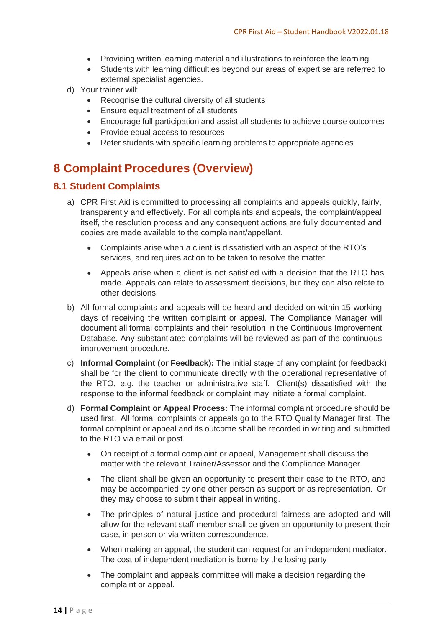- Providing written learning material and illustrations to reinforce the learning
- Students with learning difficulties beyond our areas of expertise are referred to external specialist agencies.
- d) Your trainer will:
	- Recognise the cultural diversity of all students
	- Ensure equal treatment of all students
	- Encourage full participation and assist all students to achieve course outcomes
	- Provide equal access to resources
	- Refer students with specific learning problems to appropriate agencies

# <span id="page-14-0"></span>**8 Complaint Procedures (Overview)**

#### <span id="page-14-1"></span>**8.1 Student Complaints**

- a) CPR First Aid is committed to processing all complaints and appeals quickly, fairly, transparently and effectively. For all complaints and appeals, the complaint/appeal itself, the resolution process and any consequent actions are fully documented and copies are made available to the complainant/appellant.
	- Complaints arise when a client is dissatisfied with an aspect of the RTO's services, and requires action to be taken to resolve the matter.
	- Appeals arise when a client is not satisfied with a decision that the RTO has made. Appeals can relate to assessment decisions, but they can also relate to other decisions.
- b) All formal complaints and appeals will be heard and decided on within 15 working days of receiving the written complaint or appeal. The Compliance Manager will document all formal complaints and their resolution in the Continuous Improvement Database. Any substantiated complaints will be reviewed as part of the continuous improvement procedure.
- c) **Informal Complaint (or Feedback):** The initial stage of any complaint (or feedback) shall be for the client to communicate directly with the operational representative of the RTO, e.g. the teacher or administrative staff. Client(s) dissatisfied with the response to the informal feedback or complaint may initiate a formal complaint.
- d) **Formal Complaint or Appeal Process:** The informal complaint procedure should be used first. All formal complaints or appeals go to the RTO Quality Manager first. The formal complaint or appeal and its outcome shall be recorded in writing and submitted to the RTO via email or post.
	- On receipt of a formal complaint or appeal, Management shall discuss the matter with the relevant Trainer/Assessor and the Compliance Manager.
	- The client shall be given an opportunity to present their case to the RTO, and may be accompanied by one other person as support or as representation. Or they may choose to submit their appeal in writing.
	- The principles of natural justice and procedural fairness are adopted and will allow for the relevant staff member shall be given an opportunity to present their case, in person or via written correspondence.
	- When making an appeal, the student can request for an independent mediator. The cost of independent mediation is borne by the losing party
	- The complaint and appeals committee will make a decision regarding the complaint or appeal.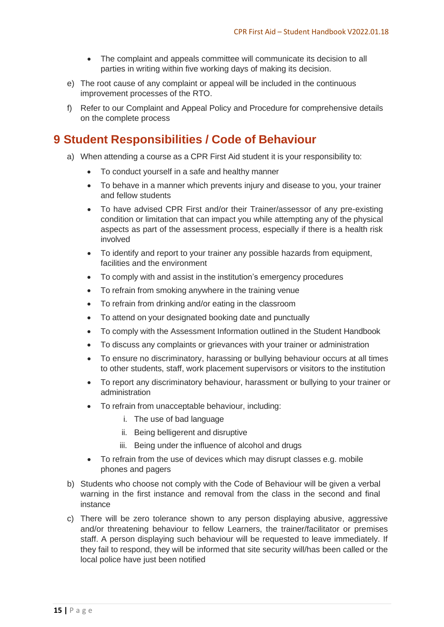- The complaint and appeals committee will communicate its decision to all parties in writing within five working days of making its decision.
- e) The root cause of any complaint or appeal will be included in the continuous improvement processes of the RTO.
- f) Refer to our Complaint and Appeal Policy and Procedure for comprehensive details on the complete process

# <span id="page-15-0"></span>**9 Student Responsibilities / Code of Behaviour**

- a) When attending a course as a CPR First Aid student it is your responsibility to:
	- To conduct yourself in a safe and healthy manner
	- To behave in a manner which prevents injury and disease to you, your trainer and fellow students
	- To have advised CPR First and/or their Trainer/assessor of any pre-existing condition or limitation that can impact you while attempting any of the physical aspects as part of the assessment process, especially if there is a health risk involved
	- To identify and report to your trainer any possible hazards from equipment, facilities and the environment
	- To comply with and assist in the institution's emergency procedures
	- To refrain from smoking anywhere in the training venue
	- To refrain from drinking and/or eating in the classroom
	- To attend on your designated booking date and punctually
	- To comply with the Assessment Information outlined in the Student Handbook
	- To discuss any complaints or grievances with your trainer or administration
	- To ensure no discriminatory, harassing or bullying behaviour occurs at all times to other students, staff, work placement supervisors or visitors to the institution
	- To report any discriminatory behaviour, harassment or bullying to your trainer or administration
	- To refrain from unacceptable behaviour, including:
		- i. The use of bad language
		- ii. Being belligerent and disruptive
		- iii. Being under the influence of alcohol and drugs
	- To refrain from the use of devices which may disrupt classes e.g. mobile phones and pagers
- b) Students who choose not comply with the Code of Behaviour will be given a verbal warning in the first instance and removal from the class in the second and final instance
- c) There will be zero tolerance shown to any person displaying abusive, aggressive and/or threatening behaviour to fellow Learners, the trainer/facilitator or premises staff. A person displaying such behaviour will be requested to leave immediately. If they fail to respond, they will be informed that site security will/has been called or the local police have just been notified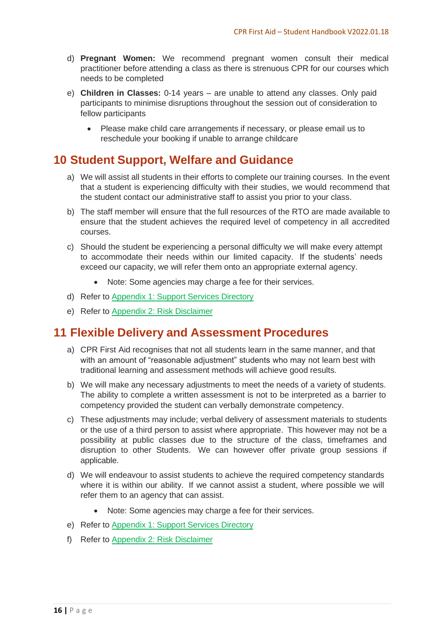- d) **Pregnant Women:** We recommend pregnant women consult their medical practitioner before attending a class as there is strenuous CPR for our courses which needs to be completed
- e) **Children in Classes:** 0-14 years are unable to attend any classes. Only paid participants to minimise disruptions throughout the session out of consideration to fellow participants
	- Please make child care arrangements if necessary, or please email us to reschedule your booking if unable to arrange childcare

# <span id="page-16-0"></span>**10 Student Support, Welfare and Guidance**

- a) We will assist all students in their efforts to complete our training courses. In the event that a student is experiencing difficulty with their studies, we would recommend that the student contact our administrative staff to assist you prior to your class.
- b) The staff member will ensure that the full resources of the RTO are made available to ensure that the student achieves the required level of competency in all accredited courses.
- c) Should the student be experiencing a personal difficulty we will make every attempt to accommodate their needs within our limited capacity. If the students' needs exceed our capacity, we will refer them onto an appropriate external agency.
	- Note: Some agencies may charge a fee for their services.
- d) Refer to [Appendix](#page-18-0) 1: Support Services Directory
- e) Refer to Appendix 2: Risk [Disclaimer](#page-19-0)

# <span id="page-16-1"></span>**11 Flexible Delivery and Assessment Procedures**

- a) CPR First Aid recognises that not all students learn in the same manner, and that with an amount of "reasonable adjustment" students who may not learn best with traditional learning and assessment methods will achieve good results.
- b) We will make any necessary adjustments to meet the needs of a variety of students. The ability to complete a written assessment is not to be interpreted as a barrier to competency provided the student can verbally demonstrate competency.
- c) These adjustments may include; verbal delivery of assessment materials to students or the use of a third person to assist where appropriate. This however may not be a possibility at public classes due to the structure of the class, timeframes and disruption to other Students. We can however offer private group sessions if applicable.
- d) We will endeavour to assist students to achieve the required competency standards where it is within our ability. If we cannot assist a student, where possible we will refer them to an agency that can assist.
	- Note: Some agencies may charge a fee for their services.
- e) Refer to [Appendix](#page-18-0) 1: Support Services Directory
- f) Refer to Appendix 2: Risk [Disclaimer](#page-19-0)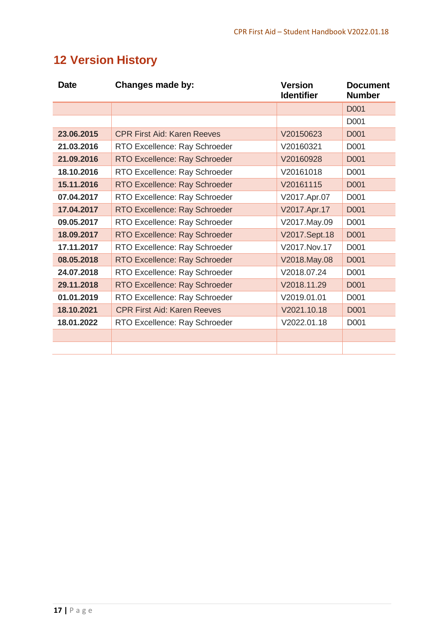# <span id="page-17-0"></span>**12 Version History**

| <b>Date</b> | Changes made by:                   | <b>Version</b><br><b>Identifier</b> |                  |
|-------------|------------------------------------|-------------------------------------|------------------|
|             |                                    |                                     | <b>D001</b>      |
|             |                                    |                                     | D <sub>001</sub> |
| 23.06.2015  | <b>CPR First Aid: Karen Reeves</b> | V20150623                           | D001             |
| 21.03.2016  | RTO Excellence: Ray Schroeder      | V20160321                           | D <sub>001</sub> |
| 21.09.2016  | RTO Excellence: Ray Schroeder      | V20160928                           | <b>D001</b>      |
| 18.10.2016  | RTO Excellence: Ray Schroeder      | V20161018                           | D001             |
| 15.11.2016  | RTO Excellence: Ray Schroeder      | V20161115                           | <b>D001</b>      |
| 07.04.2017  | RTO Excellence: Ray Schroeder      | V2017.Apr.07                        | D <sub>001</sub> |
| 17.04.2017  | RTO Excellence: Ray Schroeder      | V2017.Apr.17                        | D001             |
| 09.05.2017  | RTO Excellence: Ray Schroeder      | V2017.May.09                        | D <sub>001</sub> |
| 18.09.2017  | RTO Excellence: Ray Schroeder      | V2017.Sept.18                       | <b>D001</b>      |
| 17.11.2017  | RTO Excellence: Ray Schroeder      | V2017.Nov.17                        | D001             |
| 08.05.2018  | RTO Excellence: Ray Schroeder      | V2018.May.08                        | D001             |
| 24.07.2018  | RTO Excellence: Ray Schroeder      | V2018.07.24                         | D <sub>001</sub> |
| 29.11.2018  | RTO Excellence: Ray Schroeder      | V2018.11.29                         | D001             |
| 01.01.2019  | RTO Excellence: Ray Schroeder      | V2019.01.01                         | D <sub>001</sub> |
| 18.10.2021  | <b>CPR First Aid: Karen Reeves</b> | V2021.10.18                         | <b>D001</b>      |
| 18.01.2022  | RTO Excellence: Ray Schroeder      | V2022.01.18                         | D001             |
|             |                                    |                                     |                  |
|             |                                    |                                     |                  |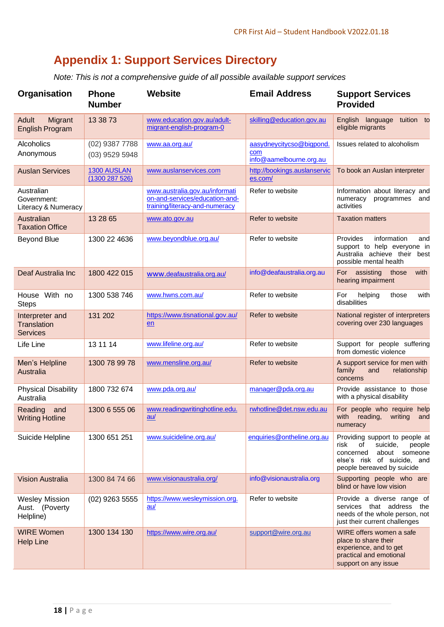# **Appendix 1: Support Services Directory**

*Note: This is not a comprehensive guide of all possible available support services*

<span id="page-18-0"></span>

| Organisation                                             | <b>Phone</b><br><b>Number</b>        | Website                                                                                            | <b>Email Address</b>                                       | <b>Support Services</b><br><b>Provided</b>                                                                                                                    |
|----------------------------------------------------------|--------------------------------------|----------------------------------------------------------------------------------------------------|------------------------------------------------------------|---------------------------------------------------------------------------------------------------------------------------------------------------------------|
| Migrant<br>Adult<br><b>English Program</b>               | 13 38 73                             | www.education.gov.au/adult-<br>migrant-english-program-0                                           | skilling@education.gov.au                                  | English language tuition to<br>eligible migrants                                                                                                              |
| Alcoholics<br>Anonymous                                  | $(02)$ 9387 7788<br>$(03)$ 9529 5948 | www.aa.org.au/                                                                                     | aasydneycitycso@bigpond.<br>com<br>info@aamelbourne.org.au | Issues related to alcoholism                                                                                                                                  |
| <b>Auslan Services</b>                                   | 1300 AUSLAN<br>(1300287526)          | www.auslanservices.com                                                                             | http://bookings.auslanservic<br>es.com/                    | To book an Auslan interpreter                                                                                                                                 |
| Australian<br>Government:<br>Literacy & Numeracy         |                                      | www.australia.gov.au/informati<br>on-and-services/education-and-<br>training/literacy-and-numeracy | Refer to website                                           | Information about literacy and<br>numeracy<br>programmes<br>and<br>activities                                                                                 |
| Australian<br><b>Taxation Office</b>                     | 13 28 65                             | www.ato.gov.au                                                                                     | Refer to website                                           | <b>Taxation matters</b>                                                                                                                                       |
| <b>Beyond Blue</b>                                       | 1300 22 4636                         | www.beyondblue.org.au/                                                                             | Refer to website                                           | Provides<br>information<br>and<br>support to help everyone in<br>Australia achieve their<br>best<br>possible mental health                                    |
| Deaf Australia Inc                                       | 1800 422 015                         | www.deafaustralia.org.au/                                                                          | info@deafaustralia.org.au                                  | For assisting<br>with<br>those<br>hearing impairment                                                                                                          |
| House With no<br><b>Steps</b>                            | 1300 538 746                         | www.hwns.com.au/                                                                                   | Refer to website                                           | with<br>For<br>those<br>helping<br>disabilities                                                                                                               |
| Interpreter and<br><b>Translation</b><br><b>Services</b> | 131 202                              | https://www.tisnational.gov.au/<br>en                                                              | Refer to website                                           | National register of interpreters<br>covering over 230 languages                                                                                              |
| Life Line                                                | 13 11 14                             | www.lifeline.org.au/                                                                               | Refer to website                                           | Support for people suffering<br>from domestic violence                                                                                                        |
| Men's Helpline<br>Australia                              | 1300 78 99 78                        | www.mensline.org.au/                                                                               | Refer to website                                           | A support service for men with<br>family<br>relationship<br>and<br>concerns                                                                                   |
| <b>Physical Disability</b><br>Australia                  | 1800 732 674                         | www.pda.org.au/                                                                                    | manager@pda.org.au                                         | Provide assistance to those<br>with a physical disability                                                                                                     |
| Reading<br>and<br><b>Writing Hotline</b>                 | 1300 6 555 06                        | www.readingwritinghotline.edu.<br>au/                                                              | rwhotline@det.nsw.edu.au                                   | For people who require help<br>with reading,<br>writing<br>and<br>numeracy                                                                                    |
| Suicide Helpline                                         | 1300 651 251                         | www.suicideline.org.au/                                                                            | enquiries@ontheline.org.au                                 | Providing support to people at<br>risk<br>of<br>suicide,<br>people<br>about someone<br>concerned<br>else's risk of suicide, and<br>people bereaved by suicide |
| <b>Vision Australia</b>                                  | 1300 84 74 66                        | www.visionaustralia.org/                                                                           | info@visionaustralia.org                                   | Supporting people who are<br>blind or have low vision                                                                                                         |
| <b>Wesley Mission</b><br>Aust. (Poverty<br>Helpline)     | $(02)$ 9263 5555                     | https://www.wesleymission.org.<br>$au$                                                             | Refer to website                                           | Provide a diverse range of<br>services that address the<br>needs of the whole person, not<br>just their current challenges                                    |
| <b>WIRE Women</b><br><b>Help Line</b>                    | 1300 134 130                         | https://www.wire.org.au/                                                                           | support@wire.org.au                                        | WIRE offers women a safe<br>place to share their<br>experience, and to get<br>practical and emotional<br>support on any issue                                 |